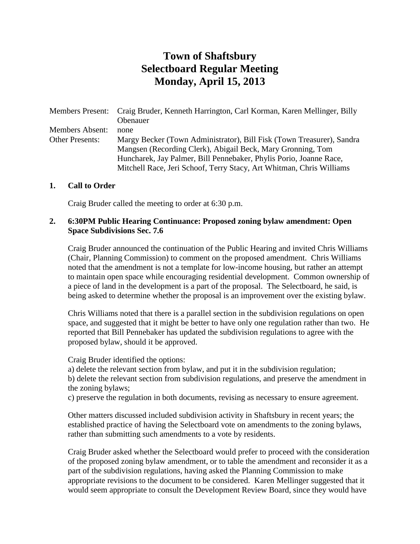# **Town of Shaftsbury Selectboard Regular Meeting Monday, April 15, 2013**

Members Present: Craig Bruder, Kenneth Harrington, Carl Korman, Karen Mellinger, Billy **Obenauer** Members Absent: none Other Presents: Margy Becker (Town Administrator), Bill Fisk (Town Treasurer), Sandra Mangsen (Recording Clerk), Abigail Beck, Mary Gronning, Tom Huncharek, Jay Palmer, Bill Pennebaker, Phylis Porio, Joanne Race, Mitchell Race, Jeri Schoof, Terry Stacy, Art Whitman, Chris Williams

#### **1. Call to Order**

Craig Bruder called the meeting to order at 6:30 p.m.

#### **2. 6:30PM Public Hearing Continuance: Proposed zoning bylaw amendment: Open Space Subdivisions Sec. 7.6**

Craig Bruder announced the continuation of the Public Hearing and invited Chris Williams (Chair, Planning Commission) to comment on the proposed amendment. Chris Williams noted that the amendment is not a template for low-income housing, but rather an attempt to maintain open space while encouraging residential development. Common ownership of a piece of land in the development is a part of the proposal. The Selectboard, he said, is being asked to determine whether the proposal is an improvement over the existing bylaw.

Chris Williams noted that there is a parallel section in the subdivision regulations on open space, and suggested that it might be better to have only one regulation rather than two. He reported that Bill Pennebaker has updated the subdivision regulations to agree with the proposed bylaw, should it be approved.

Craig Bruder identified the options:

a) delete the relevant section from bylaw, and put it in the subdivision regulation;

b) delete the relevant section from subdivision regulations, and preserve the amendment in the zoning bylaws;

c) preserve the regulation in both documents, revising as necessary to ensure agreement.

Other matters discussed included subdivision activity in Shaftsbury in recent years; the established practice of having the Selectboard vote on amendments to the zoning bylaws, rather than submitting such amendments to a vote by residents.

Craig Bruder asked whether the Selectboard would prefer to proceed with the consideration of the proposed zoning bylaw amendment, or to table the amendment and reconsider it as a part of the subdivision regulations, having asked the Planning Commission to make appropriate revisions to the document to be considered. Karen Mellinger suggested that it would seem appropriate to consult the Development Review Board, since they would have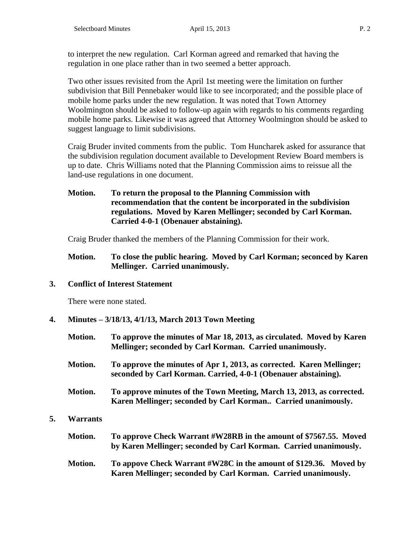to interpret the new regulation. Carl Korman agreed and remarked that having the regulation in one place rather than in two seemed a better approach.

Two other issues revisited from the April 1st meeting were the limitation on further subdivision that Bill Pennebaker would like to see incorporated; and the possible place of mobile home parks under the new regulation. It was noted that Town Attorney Woolmington should be asked to follow-up again with regards to his comments regarding mobile home parks. Likewise it was agreed that Attorney Woolmington should be asked to suggest language to limit subdivisions.

Craig Bruder invited comments from the public. Tom Huncharek asked for assurance that the subdivision regulation document available to Development Review Board members is up to date. Chris Williams noted that the Planning Commission aims to reissue all the land-use regulations in one document.

**Motion. To return the proposal to the Planning Commission with recommendation that the content be incorporated in the subdivision regulations. Moved by Karen Mellinger; seconded by Carl Korman. Carried 4-0-1 (Obenauer abstaining).** 

Craig Bruder thanked the members of the Planning Commission for their work.

**Motion. To close the public hearing. Moved by Carl Korman; seconced by Karen Mellinger. Carried unanimously.**

## **3. Conflict of Interest Statement**

There were none stated.

**5. Warrants**

**4. Minutes – 3/18/13, 4/1/13, March 2013 Town Meeting**

| Motion.         | To approve the minutes of Mar 18, 2013, as circulated. Moved by Karen<br>Mellinger; seconded by Carl Korman. Carried unanimously.       |
|-----------------|-----------------------------------------------------------------------------------------------------------------------------------------|
| Motion.         | To approve the minutes of Apr 1, 2013, as corrected. Karen Mellinger;<br>seconded by Carl Korman. Carried, 4-0-1 (Obenauer abstaining). |
| Motion.         | To approve minutes of the Town Meeting, March 13, 2013, as corrected.<br>Karen Mellinger; seconded by Carl Korman Carried unanimously.  |
| <b>Warrants</b> |                                                                                                                                         |
| Motion.         | To approve Check Warrant #W28RB in the amount of \$7567.55. Moved<br>by Karen Mellinger; seconded by Carl Korman. Carried unanimously.  |
| Motion.         | To appove Check Warrant #W28C in the amount of \$129.36. Moved by<br>Karen Mellinger; seconded by Carl Korman. Carried unanimously.     |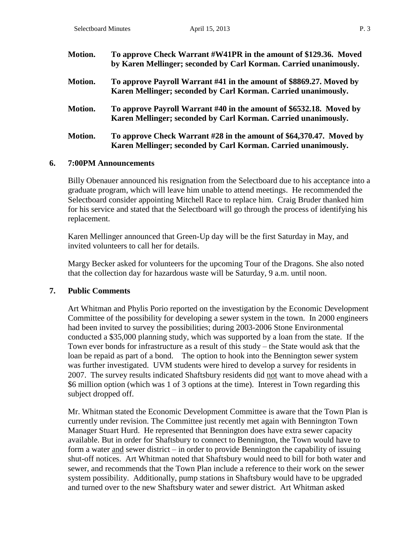| Motion.        | To approve Check Warrant #W41PR in the amount of \$129.36. Moved<br>by Karen Mellinger; seconded by Carl Korman. Carried unanimously. |
|----------------|---------------------------------------------------------------------------------------------------------------------------------------|
| <b>Motion.</b> | To approve Payroll Warrant #41 in the amount of \$8869.27. Moved by<br>Karen Mellinger; seconded by Carl Korman. Carried unanimously. |
| <b>Motion.</b> | To approve Payroll Warrant #40 in the amount of \$6532.18. Moved by<br>Karen Mellinger; seconded by Carl Korman. Carried unanimously. |
| <b>Motion.</b> | To approve Check Warrant #28 in the amount of \$64,370.47. Moved by<br>Karen Mellinger; seconded by Carl Korman. Carried unanimously. |

#### **6. 7:00PM Announcements**

Billy Obenauer announced his resignation from the Selectboard due to his acceptance into a graduate program, which will leave him unable to attend meetings. He recommended the Selectboard consider appointing Mitchell Race to replace him. Craig Bruder thanked him for his service and stated that the Selectboard will go through the process of identifying his replacement.

Karen Mellinger announced that Green-Up day will be the first Saturday in May, and invited volunteers to call her for details.

Margy Becker asked for volunteers for the upcoming Tour of the Dragons. She also noted that the collection day for hazardous waste will be Saturday, 9 a.m. until noon.

#### **7. Public Comments**

Art Whitman and Phylis Porio reported on the investigation by the Economic Development Committee of the possibility for developing a sewer system in the town. In 2000 engineers had been invited to survey the possibilities; during 2003-2006 Stone Environmental conducted a \$35,000 planning study, which was supported by a loan from the state. If the Town ever bonds for infrastructure as a result of this study – the State would ask that the loan be repaid as part of a bond. The option to hook into the Bennington sewer system was further investigated. UVM students were hired to develop a survey for residents in 2007. The survey results indicated Shaftsbury residents did not want to move ahead with a \$6 million option (which was 1 of 3 options at the time). Interest in Town regarding this subject dropped off.

Mr. Whitman stated the Economic Development Committee is aware that the Town Plan is currently under revision. The Committee just recently met again with Bennington Town Manager Stuart Hurd. He represented that Bennington does have extra sewer capacity available. But in order for Shaftsbury to connect to Bennington, the Town would have to form a water and sewer district – in order to provide Bennington the capability of issuing shut-off notices. Art Whitman noted that Shaftsbury would need to bill for both water and sewer, and recommends that the Town Plan include a reference to their work on the sewer system possibility. Additionally, pump stations in Shaftsbury would have to be upgraded and turned over to the new Shaftsbury water and sewer district. Art Whitman asked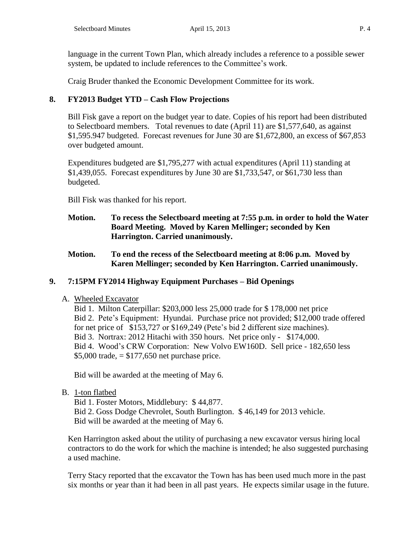language in the current Town Plan, which already includes a reference to a possible sewer system, be updated to include references to the Committee's work.

Craig Bruder thanked the Economic Development Committee for its work.

# **8. FY2013 Budget YTD – Cash Flow Projections**

Bill Fisk gave a report on the budget year to date. Copies of his report had been distributed to Selectboard members. Total revenues to date (April 11) are \$1,577,640, as against \$1,595.947 budgeted. Forecast revenues for June 30 are \$1,672,800, an excess of \$67,853 over budgeted amount.

Expenditures budgeted are \$1,795,277 with actual expenditures (April 11) standing at \$1,439,055. Forecast expenditures by June 30 are \$1,733,547, or \$61,730 less than budgeted.

Bill Fisk was thanked for his report.

- **Motion. To recess the Selectboard meeting at 7:55 p.m. in order to hold the Water Board Meeting. Moved by Karen Mellinger; seconded by Ken Harrington. Carried unanimously.**
- **Motion. To end the recess of the Selectboard meeting at 8:06 p.m. Moved by Karen Mellinger; seconded by Ken Harrington. Carried unanimously.**

# **9. 7:15PM FY2014 Highway Equipment Purchases – Bid Openings**

A. Wheeled Excavator

Bid 1. Milton Caterpillar: \$203,000 less 25,000 trade for \$ 178,000 net price Bid 2. Pete's Equipment: Hyundai. Purchase price not provided; \$12,000 trade offered for net price of \$153,727 or \$169,249 (Pete's bid 2 different size machines). Bid 3. Nortrax: 2012 Hitachi with 350 hours. Net price only - \$174,000. Bid 4. Wood's CRW Corporation: New Volvo EW160D. Sell price - 182,650 less  $$5,000$  trade,  $= $177,650$  net purchase price.

Bid will be awarded at the meeting of May 6.

B. 1-ton flatbed

Bid 1. Foster Motors, Middlebury: \$ 44,877. Bid 2. Goss Dodge Chevrolet, South Burlington. \$ 46,149 for 2013 vehicle. Bid will be awarded at the meeting of May 6.

Ken Harrington asked about the utility of purchasing a new excavator versus hiring local contractors to do the work for which the machine is intended; he also suggested purchasing a used machine.

Terry Stacy reported that the excavator the Town has has been used much more in the past six months or year than it had been in all past years. He expects similar usage in the future.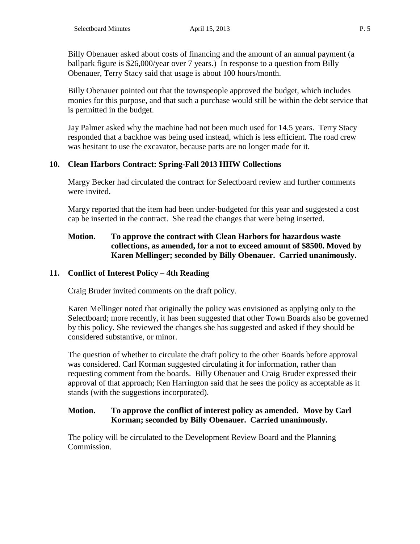Billy Obenauer asked about costs of financing and the amount of an annual payment (a ballpark figure is \$26,000/year over 7 years.) In response to a question from Billy Obenauer, Terry Stacy said that usage is about 100 hours/month.

Billy Obenauer pointed out that the townspeople approved the budget, which includes monies for this purpose, and that such a purchase would still be within the debt service that is permitted in the budget.

Jay Palmer asked why the machine had not been much used for 14.5 years. Terry Stacy responded that a backhoe was being used instead, which is less efficient. The road crew was hesitant to use the excavator, because parts are no longer made for it.

# **10. Clean Harbors Contract: Spring-Fall 2013 HHW Collections**

Margy Becker had circulated the contract for Selectboard review and further comments were invited.

Margy reported that the item had been under-budgeted for this year and suggested a cost cap be inserted in the contract. She read the changes that were being inserted.

## **Motion. To approve the contract with Clean Harbors for hazardous waste collections, as amended, for a not to exceed amount of \$8500. Moved by Karen Mellinger; seconded by Billy Obenauer. Carried unanimously.**

# **11. Conflict of Interest Policy – 4th Reading**

Craig Bruder invited comments on the draft policy.

Karen Mellinger noted that originally the policy was envisioned as applying only to the Selectboard; more recently, it has been suggested that other Town Boards also be governed by this policy. She reviewed the changes she has suggested and asked if they should be considered substantive, or minor.

The question of whether to circulate the draft policy to the other Boards before approval was considered. Carl Korman suggested circulating it for information, rather than requesting comment from the boards. Billy Obenauer and Craig Bruder expressed their approval of that approach; Ken Harrington said that he sees the policy as acceptable as it stands (with the suggestions incorporated).

## **Motion. To approve the conflict of interest policy as amended. Move by Carl Korman; seconded by Billy Obenauer. Carried unanimously.**

The policy will be circulated to the Development Review Board and the Planning Commission.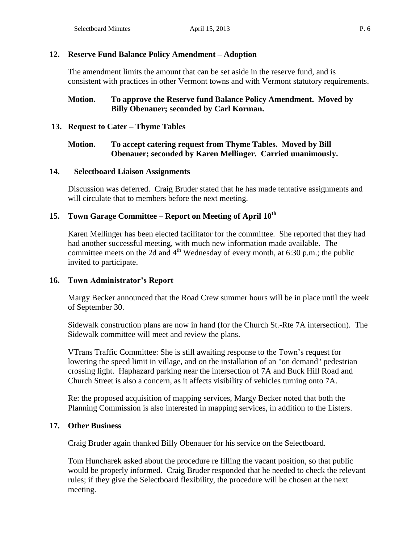#### **12. Reserve Fund Balance Policy Amendment – Adoption**

The amendment limits the amount that can be set aside in the reserve fund, and is consistent with practices in other Vermont towns and with Vermont statutory requirements.

## **Motion. To approve the Reserve fund Balance Policy Amendment. Moved by Billy Obenauer; seconded by Carl Korman.**

#### **13. Request to Cater – Thyme Tables**

#### **Motion. To accept catering request from Thyme Tables. Moved by Bill Obenauer; seconded by Karen Mellinger. Carried unanimously.**

#### **14. Selectboard Liaison Assignments**

Discussion was deferred. Craig Bruder stated that he has made tentative assignments and will circulate that to members before the next meeting.

## **15. Town Garage Committee – Report on Meeting of April 10th**

Karen Mellinger has been elected facilitator for the committee. She reported that they had had another successful meeting, with much new information made available. The committee meets on the 2d and  $4<sup>th</sup>$  Wednesday of every month, at 6:30 p.m.; the public invited to participate.

#### **16. Town Administrator's Report**

Margy Becker announced that the Road Crew summer hours will be in place until the week of September 30.

Sidewalk construction plans are now in hand (for the Church St.-Rte 7A intersection). The Sidewalk committee will meet and review the plans.

VTrans Traffic Committee: She is still awaiting response to the Town's request for lowering the speed limit in village, and on the installation of an "on demand" pedestrian crossing light. Haphazard parking near the intersection of 7A and Buck Hill Road and Church Street is also a concern, as it affects visibility of vehicles turning onto 7A.

Re: the proposed acquisition of mapping services, Margy Becker noted that both the Planning Commission is also interested in mapping services, in addition to the Listers.

#### **17. Other Business**

Craig Bruder again thanked Billy Obenauer for his service on the Selectboard.

Tom Huncharek asked about the procedure re filling the vacant position, so that public would be properly informed. Craig Bruder responded that he needed to check the relevant rules; if they give the Selectboard flexibility, the procedure will be chosen at the next meeting.